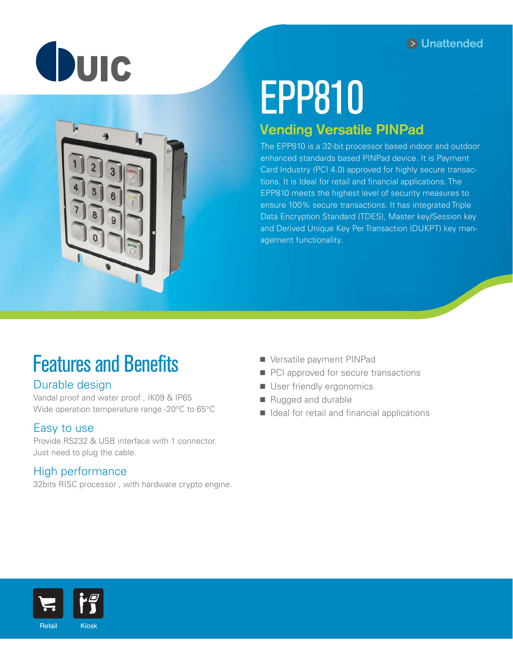



# EPP810

# Vending Versatile PINPad

The EPP810 is a 32-bit processor based indoor and outdoor enhanced standards based PINPad device. It is Payment Card Industry (PCI 4.0) approved for highly secure transactions. It is Ideal for retail and financial applications. The EPP810 meets the highest level of security measures to ensure 100% secure transactions. It has integrated Triple Data Encryption Standard (TDES), Master key/Session key and Derived Unique Key Per Transaction (DUKPT) key management functionality.

# Features and Benefits

## Durable design

Vandal proof and water proof , IK09 & IP65 Wide operation temperature range -20°C to 65°C

### Easy to use

Provide RS232 & USB interface with 1 connector. Just need to plug the cable.

### High performance

32bits RISC processor , with hardware crypto engine.

- **Versatile payment PINPad**
- PCI approved for secure transactions
- User friendly ergonomics
- Rugged and durable
- $\blacksquare$  Ideal for retail and financial applications